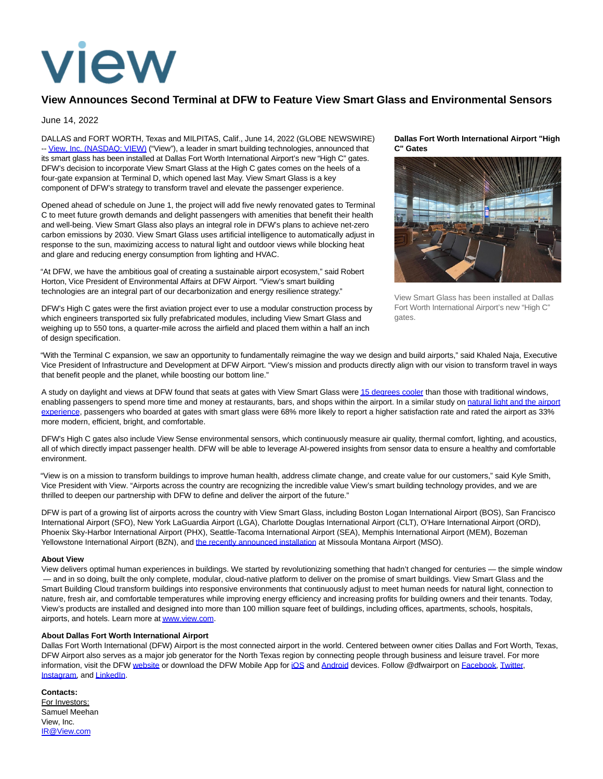

## **View Announces Second Terminal at DFW to Feature View Smart Glass and Environmental Sensors**

June 14, 2022

DALLAS and FORT WORTH, Texas and MILPITAS, Calif., June 14, 2022 (GLOBE NEWSWIRE) -[- View, Inc. \(NASDAQ: VIEW\) \(](https://www.globenewswire.com/Tracker?data=Qz-STJyaQdurDryClMupgky9N9Adhw-CQIzSR2D9JnZzoSatf0BiiCrrBxJjy3asAHgo2sLWuylmrY4L42pRTA==)"View"), a leader in smart building technologies, announced that its smart glass has been installed at Dallas Fort Worth International Airport's new "High C" gates. DFW's decision to incorporate View Smart Glass at the High C gates comes on the heels of a four-gate expansion at Terminal D, which opened last May. View Smart Glass is a key component of DFW's strategy to transform travel and elevate the passenger experience.

Opened ahead of schedule on June 1, the project will add five newly renovated gates to Terminal C to meet future growth demands and delight passengers with amenities that benefit their health and well-being. View Smart Glass also plays an integral role in DFW's plans to achieve net-zero carbon emissions by 2030. View Smart Glass uses artificial intelligence to automatically adjust in response to the sun, maximizing access to natural light and outdoor views while blocking heat and glare and reducing energy consumption from lighting and HVAC.

"At DFW, we have the ambitious goal of creating a sustainable airport ecosystem," said Robert Horton, Vice President of Environmental Affairs at DFW Airport. "View's smart building technologies are an integral part of our decarbonization and energy resilience strategy."

DFW's High C gates were the first aviation project ever to use a modular construction process by which engineers transported six fully prefabricated modules, including View Smart Glass and weighing up to 550 tons, a quarter-mile across the airfield and placed them within a half an inch of design specification.

## **Dallas Fort Worth International Airport "High C" Gates**



View Smart Glass has been installed at Dallas Fort Worth International Airport's new "High C" gates.

"With the Terminal C expansion, we saw an opportunity to fundamentally reimagine the way we design and build airports," said Khaled Naja, Executive Vice President of Infrastructure and Development at DFW Airport. "View's mission and products directly align with our vision to transform travel in ways that benefit people and the planet, while boosting our bottom line."

A study on daylight and views at DFW found that seats at gates with View Smart Glass wer[e 15 degrees cooler t](https://www.globenewswire.com/Tracker?data=r7RO1pL6b3yO8laS7PSKM9koSdOdMr9YauIctcqv48U0et3MVr2lmHDu0yliDQ1-oet2RpZs4AR45uVv-Vk6tR7wbZqwoS6mMgg0Q-Z9bUsSIqvolSJ4wy8TcnIzX-9lfkWStOgCIIGpeG4p-i9mG7kWGVM9O24ssMPjNVSHBV4=)han those with traditional windows, enabling passengers to spend more time and money at restaurants, bars, and shops within the airport. In a similar study on [natural light and the airport](https://www.globenewswire.com/Tracker?data=s-SDlaJ0ab4KLsTvfnk48hfKSDYzwEBoWm1hUAtPP3Iu8qyHepmniHsM8X1cDP-duO-tlvjikkPkUUqQQ5DQTFfqMHNkwnl1oqyxZYIGCu-r8rdQL2oLuUPEPzGMsqWLCgbZ-IsH-UKj7HeCxGIPlaA--5mTac0kml9vPORyW25lRG9BPrDJ50yiFsTXWfWh8iP_PJJqLSP2t3elwbpWTQ==) experience, passengers who boarded at gates with smart glass were 68% more likely to report a higher satisfaction rate and rated the airport as 33% more modern, efficient, bright, and comfortable.

DFW's High C gates also include View Sense environmental sensors, which continuously measure air quality, thermal comfort, lighting, and acoustics, all of which directly impact passenger health. DFW will be able to leverage AI-powered insights from sensor data to ensure a healthy and comfortable environment.

"View is on a mission to transform buildings to improve human health, address climate change, and create value for our customers," said Kyle Smith, Vice President with View. "Airports across the country are recognizing the incredible value View's smart building technology provides, and we are thrilled to deepen our partnership with DFW to define and deliver the airport of the future."

DFW is part of a growing list of airports across the country with View Smart Glass, including Boston Logan International Airport (BOS), San Francisco International Airport (SFO), New York LaGuardia Airport (LGA), Charlotte Douglas International Airport (CLT), O'Hare International Airport (ORD), Phoenix Sky-Harbor International Airport (PHX), Seattle-Tacoma International Airport (SEA), Memphis International Airport (MEM), Bozeman Yellowstone International Airport (BZN), and [the recently announced installation a](https://www.globenewswire.com/Tracker?data=0eoTMt7JmmUIWAYzViBB0Pqy3mmt87zoh4sKQWbHAAfegXpHNAfD96Nxm-e4wgN8hb8e3NT_U4do0fhwWFiwAHkecOtGhHTH5fUgQs9OxuKzIc8kvxox_URjQgd4obHnzpXzDbQhC7g0PQUDV5EVoWv4g42fDZdeFql_ey0WvzQX-3-Upnb6Z-Qekn5FYBwaP2VJfGkFDBlPp_Yx89BvU9HlGUKcm3DI2N_fYx7Qeqr4pwob1Hpf36JqfZMQOh0J)t Missoula Montana Airport (MSO).

## **About View**

View delivers optimal human experiences in buildings. We started by revolutionizing something that hadn't changed for centuries — the simple window — and in so doing, built the only complete, modular, cloud-native platform to deliver on the promise of smart buildings. View Smart Glass and the Smart Building Cloud transform buildings into responsive environments that continuously adjust to meet human needs for natural light, connection to nature, fresh air, and comfortable temperatures while improving energy efficiency and increasing profits for building owners and their tenants. Today, View's products are installed and designed into more than 100 million square feet of buildings, including offices, apartments, schools, hospitals, airports, and hotels. Learn more a[t www.view.com.](https://www.globenewswire.com/Tracker?data=ZDTpX_nsGaBqSG5SH5ofBGyIuyqg-GcUkmtAOLWouEEW5HVDtDwUz88J4_E1Oq-HTaSGReW-zixU6tC8sBKz0g==)

## **About Dallas Fort Worth International Airport**

Dallas Fort Worth International (DFW) Airport is the most connected airport in the world. Centered between owner cities Dallas and Fort Worth, Texas, DFW Airport also serves as a major job generator for the North Texas region by connecting people through business and leisure travel. For more information, visit the DFW [website o](https://www.globenewswire.com/Tracker?data=eDfvzj2QWXuX44saUvLHN9OaEm7WqXUsRNi1202xIE-9W0VtEb_0cXZy4yA5tnfhiZVUbcsZsQ_Tm4nyBXu29g==)r download the DFW Mobile App for [iOS a](https://www.globenewswire.com/Tracker?data=Yvp7NSALCDiK8C98cJ85BVptfI2SMwLB1WUT00p3qhv03eb5zNbjkJzq8EnHnenZNYh_x7HbvPsu3h-5jaIle63oh2EfGmSS2IcEr-bvlR4=)nd [Android d](https://www.globenewswire.com/Tracker?data=vUjhUPd-EcmQrdaMJmzts4vj8bJKXHLO7zhoDHN1CDs7EAvUSBBGY0rEvEuGkKsQtc2zAtCJwm55_HG6ZXUCPDeUkeB8sjMrhStiQ2jkUPJYBuVI60NPI41rXjX1Hcbu)evices. Follow @dfwairport on [Facebook,](https://www.globenewswire.com/Tracker?data=nWZyIJoFXqB30pbmgfJxG6ofvw7rA3X8rgR61_tcEsa3QdAkp7MZyH6Bwr-rDC2f8CbkewNUrU-qGmjorJqZZokAojcb4tWM_EOPbmxIZXI=) [Twitter,](https://www.globenewswire.com/Tracker?data=Eaz0ojh1NIW_54LrtWGEfYXVj-96q_600JmLzabqb3MH0q81zuiR4-kBJyp552lTbVN9_J3mxE3m1KmDiP1czw==) [Instagram,](https://www.globenewswire.com/Tracker?data=8kmYQmFotNsVlKhY6ic5OTF6UKxr_6TNsPyA2Jm93BrHltHFU8UNgt25NRzjWjHdzcDgvwaryDrBIPWvaWcDQLt4yQsNSKCWyIVhYCdPicc=) an[d LinkedIn.](https://www.globenewswire.com/Tracker?data=0UYAf-D2P4Ij_ZwN0PPWKOSLAx3CbsrYx9Dx7KR_tBs0X1xncN-6um2yEBy523tWv4U8T8liogp4LvpRz6OIUH6SrbW7gerndz2x0TK-0kQ=)

**Contacts:** For Investors: Samuel Meehan View, Inc. [IR@View.com](https://www.globenewswire.com/Tracker?data=JMt2zY0Fk5c4EOidCIQ8N2ZiLrKnjPRERMwd5maRB7RMytd1PyayQ9J1Ml-dI2LZajH6boH2IaFWUaL0ylfjww==)